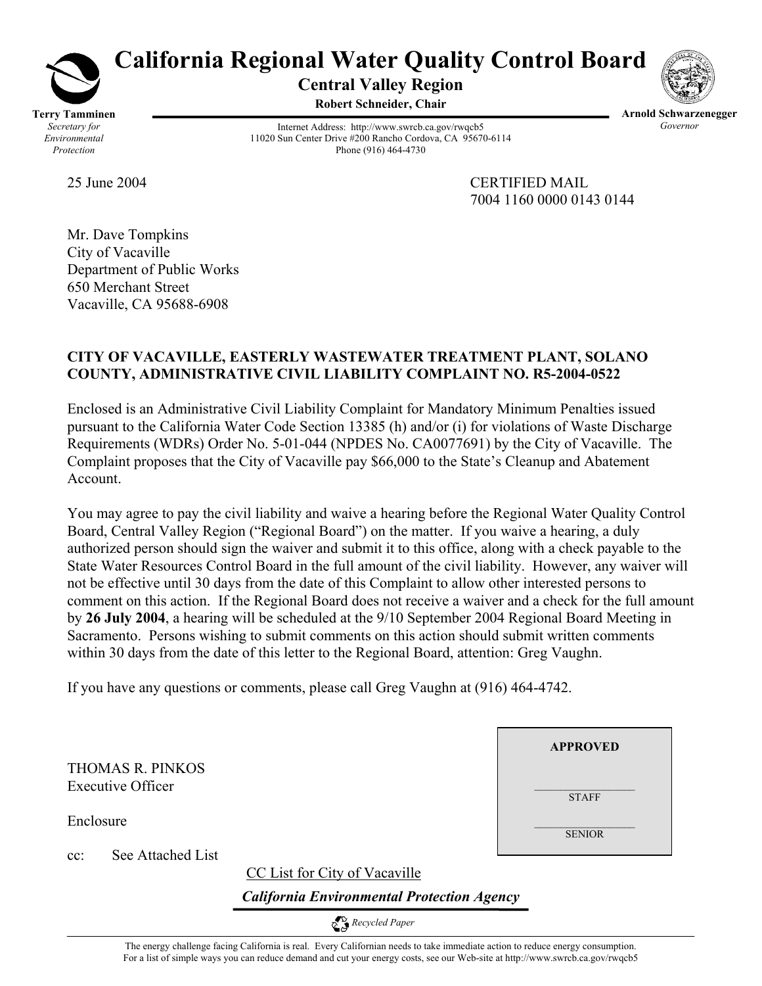

# **California Regional Water Quality Control Board**

**Central Valley Region Robert Schneider, Chair**



Internet Address: http://www.swrcb.ca.gov/rwqcb5 11020 Sun Center Drive #200 Rancho Cordova, CA 95670-6114

Phone (916) 464-4730

**Arnold Schwarzenegger**  *Governor* 

25 June 2004 CERTIFIED MAIL 7004 1160 0000 0143 0144

**APPROVED**

 $\mathcal{L}=\mathcal{L}^{\mathcal{L}}$  , where  $\mathcal{L}^{\mathcal{L}}$ **STAFF** 

 $\mathcal{L}=\mathcal{L}^{\mathcal{L}}$  , where  $\mathcal{L}^{\mathcal{L}}$ **SENIOR** 

Mr. Dave Tompkins City of Vacaville Department of Public Works 650 Merchant Street Vacaville, CA 95688-6908

## **CITY OF VACAVILLE, EASTERLY WASTEWATER TREATMENT PLANT, SOLANO COUNTY, ADMINISTRATIVE CIVIL LIABILITY COMPLAINT NO. R5-2004-0522**

Enclosed is an Administrative Civil Liability Complaint for Mandatory Minimum Penalties issued pursuant to the California Water Code Section 13385 (h) and/or (i) for violations of Waste Discharge Requirements (WDRs) Order No. 5-01-044 (NPDES No. CA0077691) by the City of Vacaville. The Complaint proposes that the City of Vacaville pay \$66,000 to the State's Cleanup and Abatement Account.

You may agree to pay the civil liability and waive a hearing before the Regional Water Quality Control Board, Central Valley Region ("Regional Board") on the matter. If you waive a hearing, a duly authorized person should sign the waiver and submit it to this office, along with a check payable to the State Water Resources Control Board in the full amount of the civil liability. However, any waiver will not be effective until 30 days from the date of this Complaint to allow other interested persons to comment on this action. If the Regional Board does not receive a waiver and a check for the full amount by **26 July 2004**, a hearing will be scheduled at the 9/10 September 2004 Regional Board Meeting in Sacramento. Persons wishing to submit comments on this action should submit written comments within 30 days from the date of this letter to the Regional Board, attention: Greg Vaughn.

If you have any questions or comments, please call Greg Vaughn at (916) 464-4742.

THOMAS R. PINKOS Executive Officer

Enclosure

cc: See Attached List

CC List for City of Vacaville

*California Environmental Protection Agency*

 *Recycled Paper* 

The energy challenge facing California is real. Every Californian needs to take immediate action to reduce energy consumption. For a list of simple ways you can reduce demand and cut your energy costs, see our Web-site at http://www.swrcb.ca.gov/rwqcb5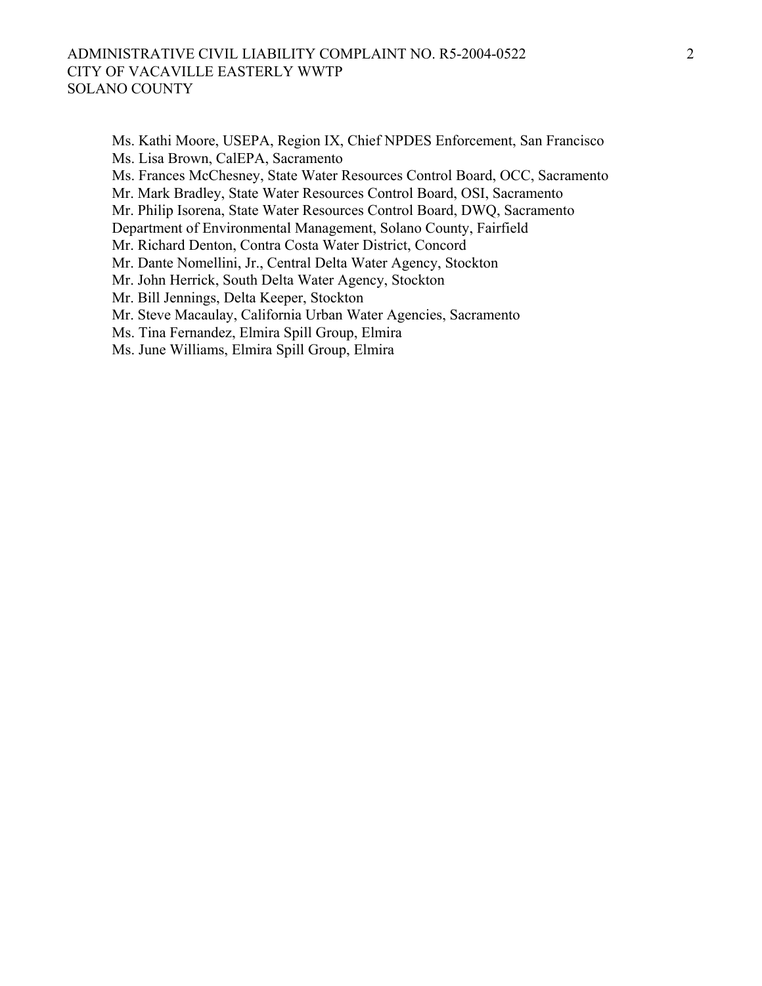#### ADMINISTRATIVE CIVIL LIABILITY COMPLAINT NO. R5-2004-0522 CITY OF VACAVILLE EASTERLY WWTP SOLANO COUNTY

Ms. Kathi Moore, USEPA, Region IX, Chief NPDES Enforcement, San Francisco Ms. Lisa Brown, CalEPA, Sacramento Ms. Frances McChesney, State Water Resources Control Board, OCC, Sacramento Mr. Mark Bradley, State Water Resources Control Board, OSI, Sacramento Mr. Philip Isorena, State Water Resources Control Board, DWQ, Sacramento Department of Environmental Management, Solano County, Fairfield Mr. Richard Denton, Contra Costa Water District, Concord Mr. Dante Nomellini, Jr., Central Delta Water Agency, Stockton Mr. John Herrick, South Delta Water Agency, Stockton Mr. Bill Jennings, Delta Keeper, Stockton Mr. Steve Macaulay, California Urban Water Agencies, Sacramento Ms. Tina Fernandez, Elmira Spill Group, Elmira Ms. June Williams, Elmira Spill Group, Elmira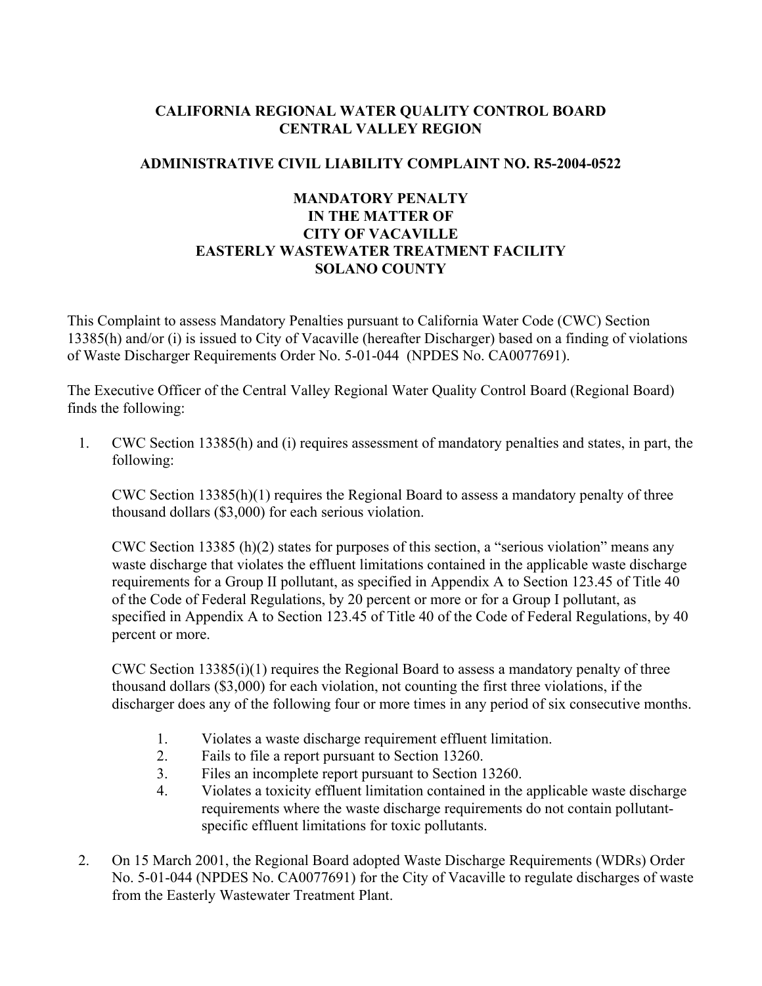### **CALIFORNIA REGIONAL WATER QUALITY CONTROL BOARD CENTRAL VALLEY REGION**

## **ADMINISTRATIVE CIVIL LIABILITY COMPLAINT NO. R5-2004-0522**

## **MANDATORY PENALTY IN THE MATTER OF CITY OF VACAVILLE EASTERLY WASTEWATER TREATMENT FACILITY SOLANO COUNTY**

This Complaint to assess Mandatory Penalties pursuant to California Water Code (CWC) Section 13385(h) and/or (i) is issued to City of Vacaville (hereafter Discharger) based on a finding of violations of Waste Discharger Requirements Order No. 5-01-044 (NPDES No. CA0077691).

The Executive Officer of the Central Valley Regional Water Quality Control Board (Regional Board) finds the following:

1. CWC Section 13385(h) and (i) requires assessment of mandatory penalties and states, in part, the following:

CWC Section 13385(h)(1) requires the Regional Board to assess a mandatory penalty of three thousand dollars (\$3,000) for each serious violation.

CWC Section 13385 (h)(2) states for purposes of this section, a "serious violation" means any waste discharge that violates the effluent limitations contained in the applicable waste discharge requirements for a Group II pollutant, as specified in Appendix A to Section 123.45 of Title 40 of the Code of Federal Regulations, by 20 percent or more or for a Group I pollutant, as specified in Appendix A to Section 123.45 of Title 40 of the Code of Federal Regulations, by 40 percent or more.

CWC Section 13385(i)(1) requires the Regional Board to assess a mandatory penalty of three thousand dollars (\$3,000) for each violation, not counting the first three violations, if the discharger does any of the following four or more times in any period of six consecutive months.

- 1. Violates a waste discharge requirement effluent limitation.
- 2. Fails to file a report pursuant to Section 13260.
- 3. Files an incomplete report pursuant to Section 13260.
- 4. Violates a toxicity effluent limitation contained in the applicable waste discharge requirements where the waste discharge requirements do not contain pollutantspecific effluent limitations for toxic pollutants.
- 2. On 15 March 2001, the Regional Board adopted Waste Discharge Requirements (WDRs) Order No. 5-01-044 (NPDES No. CA0077691) for the City of Vacaville to regulate discharges of waste from the Easterly Wastewater Treatment Plant.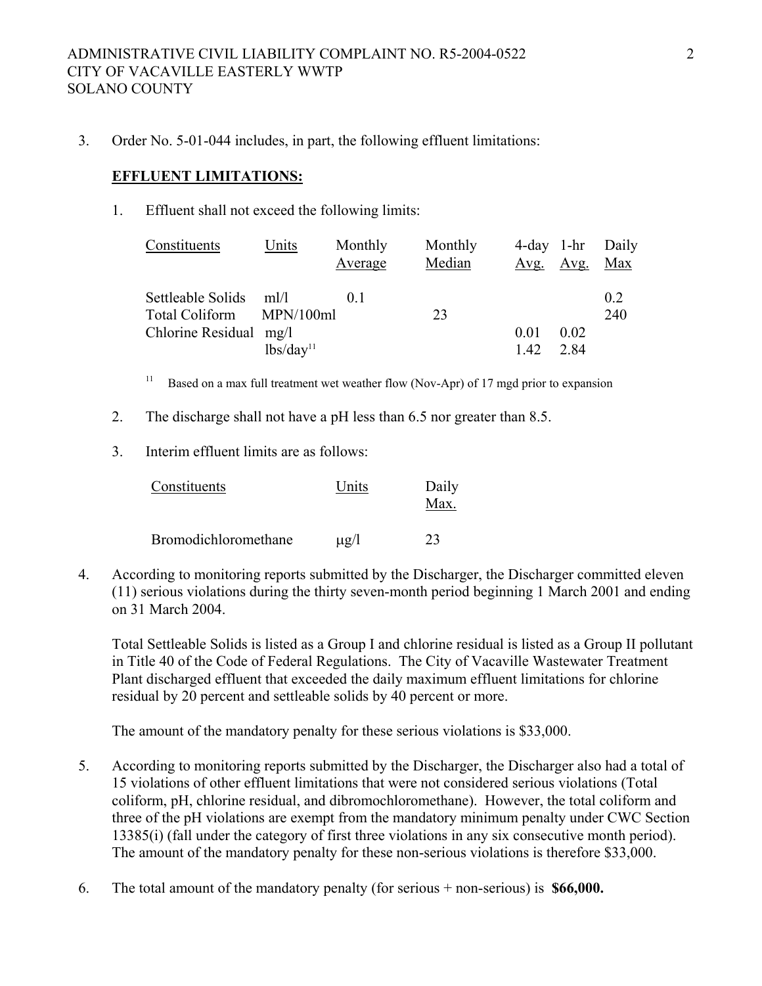3. Order No. 5-01-044 includes, in part, the following effluent limitations:

### **EFFLUENT LIMITATIONS:**

1. Effluent shall not exceed the following limits:

| Constituents           | Units                 | Monthly<br>Average | Monthly<br>Median | Avg. | <u>Avg. Max</u> | 4-day 1-hr Daily |
|------------------------|-----------------------|--------------------|-------------------|------|-----------------|------------------|
| Settleable Solids ml/l |                       | 0 <sup>1</sup>     |                   |      |                 | 0.2              |
| Total Coliform         | MPN/100ml             |                    | 23                |      |                 | 240              |
| Chlorine Residual mg/l |                       |                    |                   | 0.01 | 0.02            |                  |
|                        | lbs/day <sup>11</sup> |                    |                   | 1.42 | 2.84            |                  |

<sup>11</sup> Based on a max full treatment wet weather flow (Nov-Apr) of 17 mgd prior to expansion

- 2. The discharge shall not have a pH less than 6.5 nor greater than 8.5.
- 3. Interim effluent limits are as follows:

| Constituents         | Units     | Daily<br>Max. |
|----------------------|-----------|---------------|
| Bromodichloromethane | $\mu$ g/l | 23            |

4. According to monitoring reports submitted by the Discharger, the Discharger committed eleven (11) serious violations during the thirty seven-month period beginning 1 March 2001 and ending on 31 March 2004.

Total Settleable Solids is listed as a Group I and chlorine residual is listed as a Group II pollutant in Title 40 of the Code of Federal Regulations. The City of Vacaville Wastewater Treatment Plant discharged effluent that exceeded the daily maximum effluent limitations for chlorine residual by 20 percent and settleable solids by 40 percent or more.

The amount of the mandatory penalty for these serious violations is \$33,000.

- 5. According to monitoring reports submitted by the Discharger, the Discharger also had a total of 15 violations of other effluent limitations that were not considered serious violations (Total coliform, pH, chlorine residual, and dibromochloromethane). However, the total coliform and three of the pH violations are exempt from the mandatory minimum penalty under CWC Section 13385(i) (fall under the category of first three violations in any six consecutive month period). The amount of the mandatory penalty for these non-serious violations is therefore \$33,000.
- 6. The total amount of the mandatory penalty (for serious + non-serious) is **\$66,000.**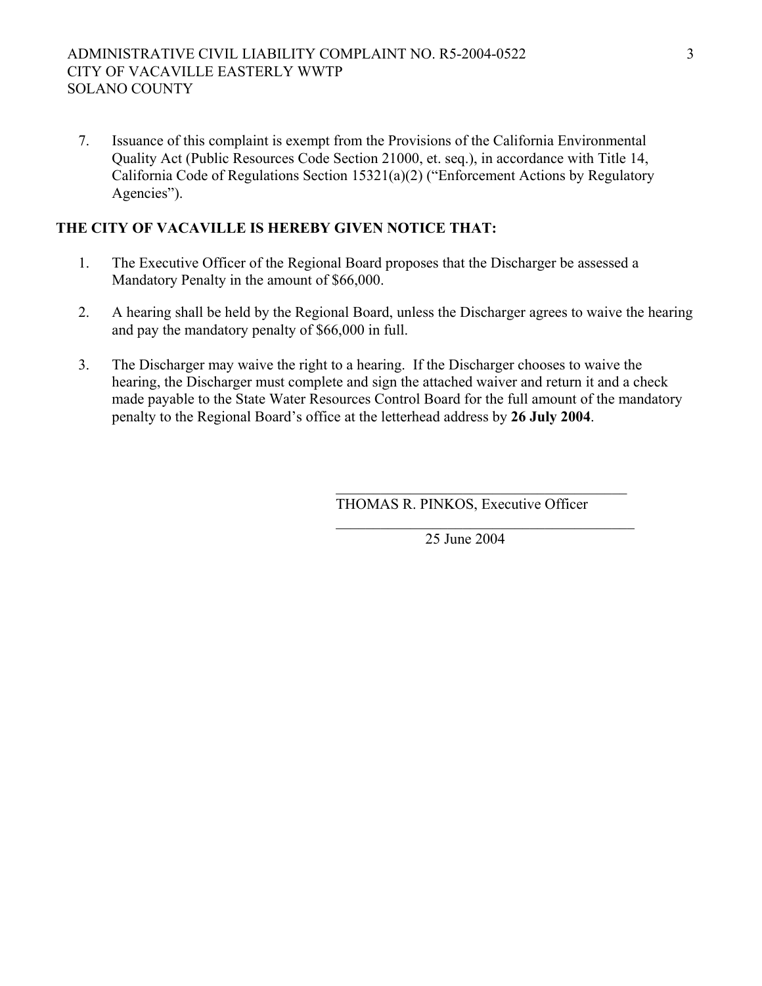## ADMINISTRATIVE CIVIL LIABILITY COMPLAINT NO. R5-2004-0522 CITY OF VACAVILLE EASTERLY WWTP SOLANO COUNTY

7. Issuance of this complaint is exempt from the Provisions of the California Environmental Quality Act (Public Resources Code Section 21000, et. seq.), in accordance with Title 14, California Code of Regulations Section 15321(a)(2) ("Enforcement Actions by Regulatory Agencies").

# **THE CITY OF VACAVILLE IS HEREBY GIVEN NOTICE THAT:**

- 1. The Executive Officer of the Regional Board proposes that the Discharger be assessed a Mandatory Penalty in the amount of \$66,000.
- 2. A hearing shall be held by the Regional Board, unless the Discharger agrees to waive the hearing and pay the mandatory penalty of \$66,000 in full.
- 3. The Discharger may waive the right to a hearing. If the Discharger chooses to waive the hearing, the Discharger must complete and sign the attached waiver and return it and a check made payable to the State Water Resources Control Board for the full amount of the mandatory penalty to the Regional Board's office at the letterhead address by **26 July 2004**.

 $\mathcal{L}_\mathcal{L} = \{ \mathcal{L}_\mathcal{L} = \{ \mathcal{L}_\mathcal{L} \} \cup \{ \mathcal{L}_\mathcal{L} = \{ \mathcal{L}_\mathcal{L} \} \cup \{ \mathcal{L}_\mathcal{L} = \{ \mathcal{L}_\mathcal{L} \} \cup \{ \mathcal{L}_\mathcal{L} = \{ \mathcal{L}_\mathcal{L} \} \cup \{ \mathcal{L}_\mathcal{L} = \{ \mathcal{L}_\mathcal{L} \} \cup \{ \mathcal{L}_\mathcal{L} = \{ \mathcal{L}_\mathcal{L} \} \cup \{ \mathcal{L}_\$ 

 $\mathcal{L}_\mathcal{L} = \{ \mathcal{L}_\mathcal{L} \mid \mathcal{L}_\mathcal{L} = \{ \mathcal{L}_\mathcal{L} \mid \mathcal{L}_\mathcal{L} = \{ \mathcal{L}_\mathcal{L} \mid \mathcal{L}_\mathcal{L} = \{ \mathcal{L}_\mathcal{L} \mid \mathcal{L}_\mathcal{L} = \{ \mathcal{L}_\mathcal{L} \mid \mathcal{L}_\mathcal{L} = \{ \mathcal{L}_\mathcal{L} \mid \mathcal{L}_\mathcal{L} = \{ \mathcal{L}_\mathcal{L} \mid \mathcal{L}_\mathcal{L} = \{ \math$ 

THOMAS R. PINKOS, Executive Officer

25 June 2004